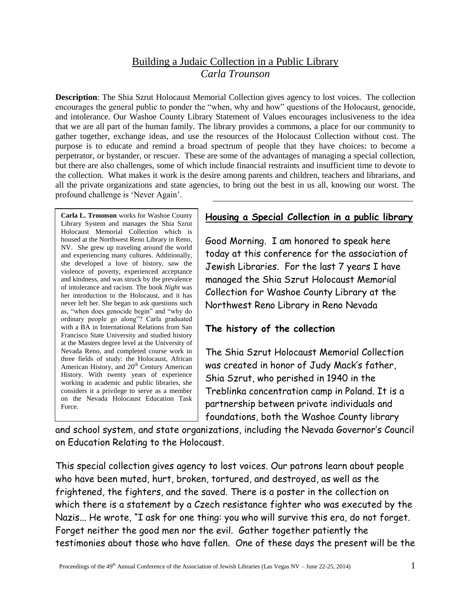## Building a Judaic Collection in a Public Library *Carla Trounson*

**Description**: The Shia Szrut Holocaust Memorial Collection gives agency to lost voices. The collection encourages the general public to ponder the "when, why and how" questions of the Holocaust, genocide, and intolerance. Our Washoe County Library Statement of Values encourages inclusiveness to the idea that we are all part of the human family. The library provides a commons, a place for our community to gather together, exchange ideas, and use the resources of the Holocaust Collection without cost. The purpose is to educate and remind a broad spectrum of people that they have choices: to become a perpetrator, or bystander, or rescuer. These are some of the advantages of managing a special collection, but there are also challenges, some of which include financial restraints and insufficient time to devote to the collection. What makes it work is the desire among parents and children, teachers and librarians, and all the private organizations and state agencies, to bring out the best in us all, knowing our worst. The profound challenge is 'Never Again'.

**Carla L. Trounson** works for Washoe County Library System and manages the Shia Szrut Holocaust Memorial Collection which is housed at the Northwest Reno Library in Reno, NV. She grew up traveling around the world and experiencing many cultures. Additionally, she developed a love of history, saw the violence of poverty, experienced acceptance and kindness, and was struck by the prevalence of intolerance and racism. The book *Night* was her introduction to the Holocaust, and it has never left her. She began to ask questions such as, "when does genocide begin" and "why do ordinary people go along"? Carla graduated with a BA in International Relations from San Francisco State University and studied history at the Masters degree level at the University of Nevada Reno, and completed course work in three fields of study: the Holocaust, African American History, and 20<sup>th</sup> Century American History. With twenty years of experience working in academic and public libraries, she considers it a privilege to serve as a member on the Nevada Holocaust Education Task Force.

#### **Housing a Special Collection in a public library**

Good Morning. I am honored to speak here today at this conference for the association of Jewish Libraries. For the last 7 years I have managed the Shia Szrut Holocaust Memorial Collection for Washoe County Library at the Northwest Reno Library in Reno Nevada

# **The history of the collection**

The Shia Szrut Holocaust Memorial Collection was created in honor of Judy Mack's father, Shia Szrut, who perished in 1940 in the Treblinka concentration camp in Poland. It is a partnership between private individuals and foundations, both the Washoe County library

and school system, and state organizations, including the Nevada Governor's Council on Education Relating to the Holocaust.

This special collection gives agency to lost voices. Our patrons learn about people who have been muted, hurt, broken, tortured, and destroyed, as well as the frightened, the fighters, and the saved. There is a poster in the collection on which there is a statement by a Czech resistance fighter who was executed by the Nazis... He wrote, "I ask for one thing: you who will survive this era, do not forget. Forget neither the good men nor the evil. Gather together patiently the testimonies about those who have fallen. One of these days the present will be the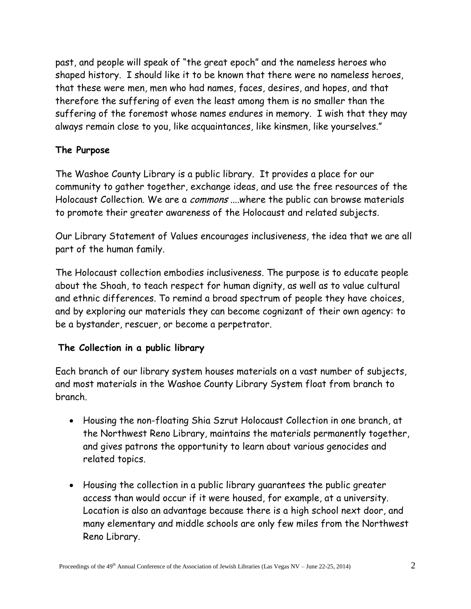past, and people will speak of "the great epoch" and the nameless heroes who shaped history. I should like it to be known that there were no nameless heroes, that these were men, men who had names, faces, desires, and hopes, and that therefore the suffering of even the least among them is no smaller than the suffering of the foremost whose names endures in memory. I wish that they may always remain close to you, like acquaintances, like kinsmen, like yourselves."

## **The Purpose**

The Washoe County Library is a public library. It provides a place for our community to gather together, exchange ideas, and use the free resources of the Holocaust Collection. We are a *commons* ....where the public can browse materials to promote their greater awareness of the Holocaust and related subjects.

Our Library Statement of Values encourages inclusiveness, the idea that we are all part of the human family.

The Holocaust collection embodies inclusiveness. The purpose is to educate people about the Shoah, to teach respect for human dignity, as well as to value cultural and ethnic differences. To remind a broad spectrum of people they have choices, and by exploring our materials they can become cognizant of their own agency: to be a bystander, rescuer, or become a perpetrator.

# **The Collection in a public library**

Each branch of our library system houses materials on a vast number of subjects, and most materials in the Washoe County Library System float from branch to branch.

- Housing the non-floating Shia Szrut Holocaust Collection in one branch, at the Northwest Reno Library, maintains the materials permanently together, and gives patrons the opportunity to learn about various genocides and related topics.
- Housing the collection in a public library guarantees the public greater access than would occur if it were housed, for example, at a university. Location is also an advantage because there is a high school next door, and many elementary and middle schools are only few miles from the Northwest Reno Library.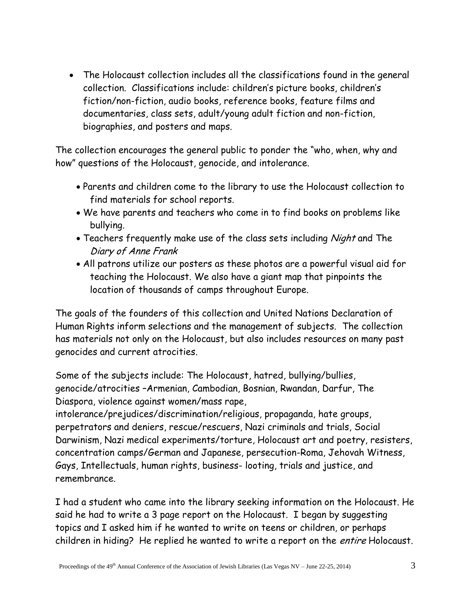The Holocaust collection includes all the classifications found in the general collection. Classifications include: children's picture books, children's fiction/non-fiction, audio books, reference books, feature films and documentaries, class sets, adult/young adult fiction and non-fiction, biographies, and posters and maps.

The collection encourages the general public to ponder the "who, when, why and how" questions of the Holocaust, genocide, and intolerance.

- Parents and children come to the library to use the Holocaust collection to find materials for school reports.
- We have parents and teachers who come in to find books on problems like bullying.
- Teachers frequently make use of the class sets including Night and The Diary of Anne Frank
- All patrons utilize our posters as these photos are a powerful visual aid for teaching the Holocaust. We also have a giant map that pinpoints the location of thousands of camps throughout Europe.

The goals of the founders of this collection and United Nations Declaration of Human Rights inform selections and the management of subjects. The collection has materials not only on the Holocaust, but also includes resources on many past genocides and current atrocities.

Some of the subjects include: The Holocaust, hatred, bullying/bullies, genocide/atrocities –Armenian, Cambodian, Bosnian, Rwandan, Darfur, The Diaspora, violence against women/mass rape,

intolerance/prejudices/discrimination/religious, propaganda, hate groups, perpetrators and deniers, rescue/rescuers, Nazi criminals and trials, Social Darwinism, Nazi medical experiments/torture, Holocaust art and poetry, resisters, concentration camps/German and Japanese, persecution-Roma, Jehovah Witness, Gays, Intellectuals, human rights, business- looting, trials and justice, and remembrance.

I had a student who came into the library seeking information on the Holocaust. He said he had to write a 3 page report on the Holocaust. I began by suggesting topics and I asked him if he wanted to write on teens or children, or perhaps children in hiding? He replied he wanted to write a report on the *entire* Holocaust.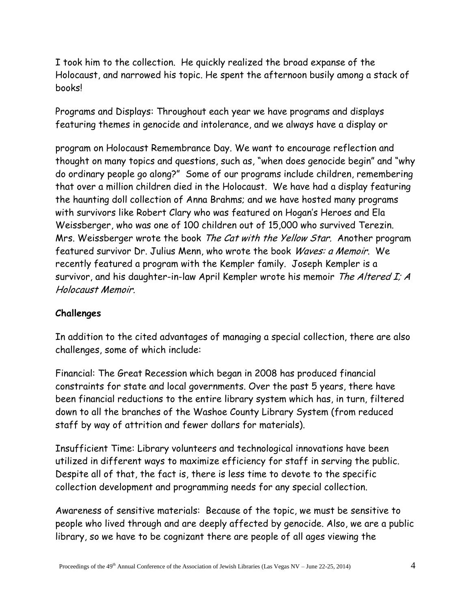I took him to the collection. He quickly realized the broad expanse of the Holocaust, and narrowed his topic. He spent the afternoon busily among a stack of books!

Programs and Displays: Throughout each year we have programs and displays featuring themes in genocide and intolerance, and we always have a display or

program on Holocaust Remembrance Day. We want to encourage reflection and thought on many topics and questions, such as, "when does genocide begin" and "why do ordinary people go along?" Some of our programs include children, remembering that over a million children died in the Holocaust. We have had a display featuring the haunting doll collection of Anna Brahms; and we have hosted many programs with survivors like Robert Clary who was featured on Hogan's Heroes and Ela Weissberger, who was one of 100 children out of 15,000 who survived Terezin. Mrs. Weissberger wrote the book The Cat with the Yellow Star. Another program featured survivor Dr. Julius Menn, who wrote the book Waves: a Memoir. We recently featured a program with the Kempler family. Joseph Kempler is a survivor, and his daughter-in-law April Kempler wrote his memoir The Altered I; A Holocaust Memoir.

### **Challenges**

In addition to the cited advantages of managing a special collection, there are also challenges, some of which include:

Financial: The Great Recession which began in 2008 has produced financial constraints for state and local governments. Over the past 5 years, there have been financial reductions to the entire library system which has, in turn, filtered down to all the branches of the Washoe County Library System (from reduced staff by way of attrition and fewer dollars for materials).

Insufficient Time: Library volunteers and technological innovations have been utilized in different ways to maximize efficiency for staff in serving the public. Despite all of that, the fact is, there is less time to devote to the specific collection development and programming needs for any special collection.

Awareness of sensitive materials: Because of the topic, we must be sensitive to people who lived through and are deeply affected by genocide. Also, we are a public library, so we have to be cognizant there are people of all ages viewing the